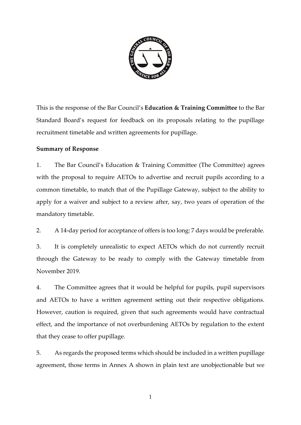

This is the response of the Bar Council's **Education & Training Committee** to the Bar Standard Board's request for feedback on its proposals relating to the pupillage recruitment timetable and written agreements for pupillage.

# **Summary of Response**

1. The Bar Council's Education & Training Committee (The Committee) agrees with the proposal to require AETOs to advertise and recruit pupils according to a common timetable, to match that of the Pupillage Gateway, subject to the ability to apply for a waiver and subject to a review after, say, two years of operation of the mandatory timetable.

2. A 14-day period for acceptance of offers is too long: 7 days would be preferable.

3. It is completely unrealistic to expect AETOs which do not currently recruit through the Gateway to be ready to comply with the Gateway timetable from November 2019.

4. The Committee agrees that it would be helpful for pupils, pupil supervisors and AETOs to have a written agreement setting out their respective obligations. However, caution is required, given that such agreements would have contractual effect, and the importance of not overburdening AETOs by regulation to the extent that they cease to offer pupillage.

5. As regards the proposed terms which should be included in a written pupillage agreement, those terms in Annex A shown in plain text are unobjectionable but we

1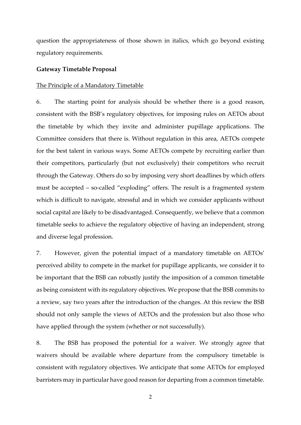question the appropriateness of those shown in italics, which go beyond existing regulatory requirements.

## **Gateway Timetable Proposal**

## The Principle of a Mandatory Timetable

6. The starting point for analysis should be whether there is a good reason, consistent with the BSB's regulatory objectives, for imposing rules on AETOs about the timetable by which they invite and administer pupillage applications. The Committee considers that there is. Without regulation in this area, AETOs compete for the best talent in various ways. Some AETOs compete by recruiting earlier than their competitors, particularly (but not exclusively) their competitors who recruit through the Gateway. Others do so by imposing very short deadlines by which offers must be accepted – so-called "exploding" offers. The result is a fragmented system which is difficult to navigate, stressful and in which we consider applicants without social capital are likely to be disadvantaged. Consequently, we believe that a common timetable seeks to achieve the regulatory objective of having an independent, strong and diverse legal profession.

7. However, given the potential impact of a mandatory timetable on AETOs' perceived ability to compete in the market for pupillage applicants, we consider it to be important that the BSB can robustly justify the imposition of a common timetable as being consistent with its regulatory objectives. We propose that the BSB commits to a review, say two years after the introduction of the changes. At this review the BSB should not only sample the views of AETOs and the profession but also those who have applied through the system (whether or not successfully).

8. The BSB has proposed the potential for a waiver. We strongly agree that waivers should be available where departure from the compulsory timetable is consistent with regulatory objectives. We anticipate that some AETOs for employed barristers may in particular have good reason for departing from a common timetable.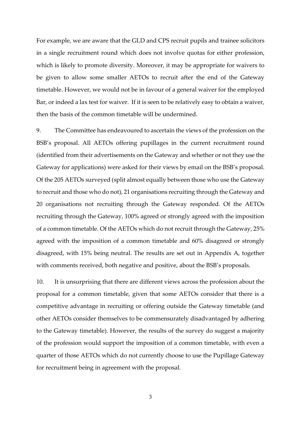For example, we are aware that the GLD and CPS recruit pupils and trainee solicitors in a single recruitment round which does not involve quotas for either profession, which is likely to promote diversity. Moreover, it may be appropriate for waivers to be given to allow some smaller AETOs to recruit after the end of the Gateway timetable. However, we would not be in favour of a general waiver for the employed Bar, or indeed a lax test for waiver. If it is seen to be relatively easy to obtain a waiver, then the basis of the common timetable will be undermined.

9. The Committee has endeavoured to ascertain the views of the profession on the BSB's proposal. All AETOs offering pupillages in the current recruitment round (identified from their advertisements on the Gateway and whether or not they use the Gateway for applications) were asked for their views by email on the BSB's proposal. Of the 205 AETOs surveyed (split almost equally between those who use the Gateway to recruit and those who do not), 21 organisations recruiting through the Gateway and 20 organisations not recruiting through the Gateway responded. Of the AETOs recruiting through the Gateway, 100% agreed or strongly agreed with the imposition of a common timetable. Of the AETOs which do not recruit through the Gateway, 25% agreed with the imposition of a common timetable and 60% disagreed or strongly disagreed, with 15% being neutral. The results are set out in Appendix A, together with comments received, both negative and positive, about the BSB's proposals.

10. It is unsurprising that there are different views across the profession about the proposal for a common timetable, given that some AETOs consider that there is a competitive advantage in recruiting or offering outside the Gateway timetable (and other AETOs consider themselves to be commensurately disadvantaged by adhering to the Gateway timetable). However, the results of the survey do suggest a majority of the profession would support the imposition of a common timetable, with even a quarter of those AETOs which do not currently choose to use the Pupillage Gateway for recruitment being in agreement with the proposal.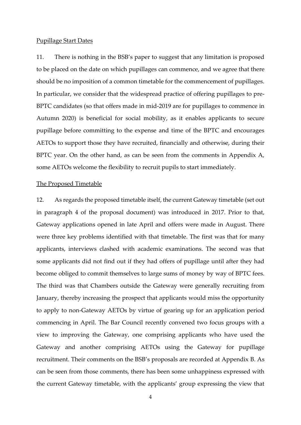#### Pupillage Start Dates

11. There is nothing in the BSB's paper to suggest that any limitation is proposed to be placed on the date on which pupillages can commence, and we agree that there should be no imposition of a common timetable for the commencement of pupillages. In particular, we consider that the widespread practice of offering pupillages to pre-BPTC candidates (so that offers made in mid-2019 are for pupillages to commence in Autumn 2020) is beneficial for social mobility, as it enables applicants to secure pupillage before committing to the expense and time of the BPTC and encourages AETOs to support those they have recruited, financially and otherwise, during their BPTC year. On the other hand, as can be seen from the comments in Appendix A, some AETOs welcome the flexibility to recruit pupils to start immediately.

#### The Proposed Timetable

12. As regards the proposed timetable itself, the current Gateway timetable (set out in paragraph 4 of the proposal document) was introduced in 2017. Prior to that, Gateway applications opened in late April and offers were made in August. There were three key problems identified with that timetable. The first was that for many applicants, interviews clashed with academic examinations. The second was that some applicants did not find out if they had offers of pupillage until after they had become obliged to commit themselves to large sums of money by way of BPTC fees. The third was that Chambers outside the Gateway were generally recruiting from January, thereby increasing the prospect that applicants would miss the opportunity to apply to non-Gateway AETOs by virtue of gearing up for an application period commencing in April. The Bar Council recently convened two focus groups with a view to improving the Gateway, one comprising applicants who have used the Gateway and another comprising AETOs using the Gateway for pupillage recruitment. Their comments on the BSB's proposals are recorded at Appendix B. As can be seen from those comments, there has been some unhappiness expressed with the current Gateway timetable, with the applicants' group expressing the view that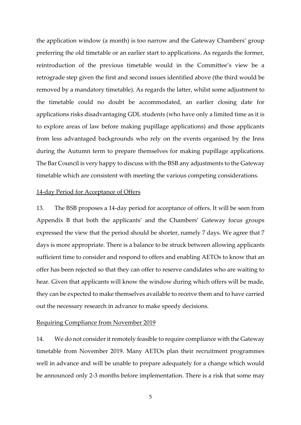the application window (a month) is too narrow and the Gateway Chambers' group preferring the old timetable or an earlier start to applications. As regards the former, reintroduction of the previous timetable would in the Committee's view be a retrograde step given the first and second issues identified above (the third would be removed by a mandatory timetable). As regards the latter, whilst some adjustment to the timetable could no doubt be accommodated, an earlier closing date for applications risks disadvantaging GDL students (who have only a limited time as it is to explore areas of law before making pupillage applications) and those applicants from less advantaged backgrounds who rely on the events organised by the Inns during the Autumn term to prepare themselves for making pupillage applications. The Bar Council is very happy to discuss with the BSB any adjustments to the Gateway timetable which are consistent with meeting the various competing considerations.

## 14-day Period for Acceptance of Offers

13. The BSB proposes a 14-day period for acceptance of offers. It will be seen from Appendix B that both the applicants' and the Chambers' Gateway focus groups expressed the view that the period should be shorter, namely 7 days. We agree that 7 days is more appropriate. There is a balance to be struck between allowing applicants sufficient time to consider and respond to offers and enabling AETOs to know that an offer has been rejected so that they can offer to reserve candidates who are waiting to hear. Given that applicants will know the window during which offers will be made, they can be expected to make themselves available to receive them and to have carried out the necessary research in advance to make speedy decisions.

## Requiring Compliance from November 2019

14. We do not consider it remotely feasible to require compliance with the Gateway timetable from November 2019. Many AETOs plan their recruitment programmes well in advance and will be unable to prepare adequately for a change which would be announced only 2-3 months before implementation. There is a risk that some may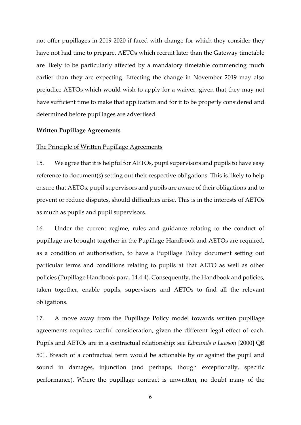not offer pupillages in 2019-2020 if faced with change for which they consider they have not had time to prepare. AETOs which recruit later than the Gateway timetable are likely to be particularly affected by a mandatory timetable commencing much earlier than they are expecting. Effecting the change in November 2019 may also prejudice AETOs which would wish to apply for a waiver, given that they may not have sufficient time to make that application and for it to be properly considered and determined before pupillages are advertised.

## **Written Pupillage Agreements**

## The Principle of Written Pupillage Agreements

15. We agree that it is helpful for AETOs, pupil supervisors and pupils to have easy reference to document(s) setting out their respective obligations. This is likely to help ensure that AETOs, pupil supervisors and pupils are aware of their obligations and to prevent or reduce disputes, should difficulties arise. This is in the interests of AETOs as much as pupils and pupil supervisors.

16. Under the current regime, rules and guidance relating to the conduct of pupillage are brought together in the Pupillage Handbook and AETOs are required, as a condition of authorisation, to have a Pupillage Policy document setting out particular terms and conditions relating to pupils at that AETO as well as other policies (Pupillage Handbook para. 14.4.4). Consequently, the Handbook and policies, taken together, enable pupils, supervisors and AETOs to find all the relevant obligations.

17. A move away from the Pupillage Policy model towards written pupillage agreements requires careful consideration, given the different legal effect of each. Pupils and AETOs are in a contractual relationship: see *Edmunds v Lawson* [2000] QB 501. Breach of a contractual term would be actionable by or against the pupil and sound in damages, injunction (and perhaps, though exceptionally, specific performance). Where the pupillage contract is unwritten, no doubt many of the

6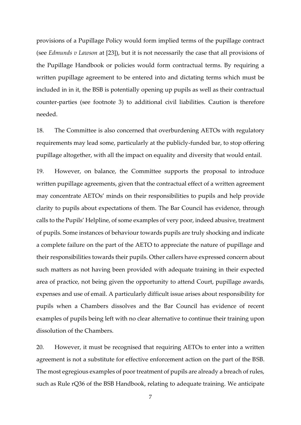provisions of a Pupillage Policy would form implied terms of the pupillage contract (see *Edmunds v Lawson* at [23]), but it is not necessarily the case that all provisions of the Pupillage Handbook or policies would form contractual terms. By requiring a written pupillage agreement to be entered into and dictating terms which must be included in in it, the BSB is potentially opening up pupils as well as their contractual counter-parties (see footnote 3) to additional civil liabilities. Caution is therefore needed.

18. The Committee is also concerned that overburdening AETOs with regulatory requirements may lead some, particularly at the publicly-funded bar, to stop offering pupillage altogether, with all the impact on equality and diversity that would entail.

19. However, on balance, the Committee supports the proposal to introduce written pupillage agreements, given that the contractual effect of a written agreement may concentrate AETOs' minds on their responsibilities to pupils and help provide clarity to pupils about expectations of them. The Bar Council has evidence, through calls to the Pupils' Helpline, of some examples of very poor, indeed abusive, treatment of pupils. Some instances of behaviour towards pupils are truly shocking and indicate a complete failure on the part of the AETO to appreciate the nature of pupillage and their responsibilities towards their pupils. Other callers have expressed concern about such matters as not having been provided with adequate training in their expected area of practice, not being given the opportunity to attend Court, pupillage awards, expenses and use of email. A particularly difficult issue arises about responsibility for pupils when a Chambers dissolves and the Bar Council has evidence of recent examples of pupils being left with no clear alternative to continue their training upon dissolution of the Chambers.

20. However, it must be recognised that requiring AETOs to enter into a written agreement is not a substitute for effective enforcement action on the part of the BSB. The most egregious examples of poor treatment of pupils are already a breach of rules, such as Rule rQ36 of the BSB Handbook, relating to adequate training. We anticipate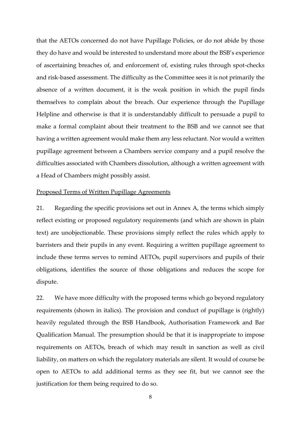that the AETOs concerned do not have Pupillage Policies, or do not abide by those they do have and would be interested to understand more about the BSB's experience of ascertaining breaches of, and enforcement of, existing rules through spot-checks and risk-based assessment. The difficulty as the Committee sees it is not primarily the absence of a written document, it is the weak position in which the pupil finds themselves to complain about the breach. Our experience through the Pupillage Helpline and otherwise is that it is understandably difficult to persuade a pupil to make a formal complaint about their treatment to the BSB and we cannot see that having a written agreement would make them any less reluctant. Nor would a written pupillage agreement between a Chambers service company and a pupil resolve the difficulties associated with Chambers dissolution, although a written agreement with a Head of Chambers might possibly assist.

### Proposed Terms of Written Pupillage Agreements

21. Regarding the specific provisions set out in Annex A, the terms which simply reflect existing or proposed regulatory requirements (and which are shown in plain text) are unobjectionable. These provisions simply reflect the rules which apply to barristers and their pupils in any event. Requiring a written pupillage agreement to include these terms serves to remind AETOs, pupil supervisors and pupils of their obligations, identifies the source of those obligations and reduces the scope for dispute.

22. We have more difficulty with the proposed terms which go beyond regulatory requirements (shown in italics). The provision and conduct of pupillage is (rightly) heavily regulated through the BSB Handbook, Authorisation Framework and Bar Qualification Manual. The presumption should be that it is inappropriate to impose requirements on AETOs, breach of which may result in sanction as well as civil liability, on matters on which the regulatory materials are silent. It would of course be open to AETOs to add additional terms as they see fit, but we cannot see the justification for them being required to do so.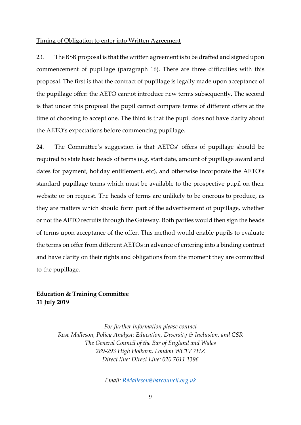#### Timing of Obligation to enter into Written Agreement

23. The BSB proposal is that the written agreement is to be drafted and signed upon commencement of pupillage (paragraph 16). There are three difficulties with this proposal. The first is that the contract of pupillage is legally made upon acceptance of the pupillage offer: the AETO cannot introduce new terms subsequently. The second is that under this proposal the pupil cannot compare terms of different offers at the time of choosing to accept one. The third is that the pupil does not have clarity about the AETO's expectations before commencing pupillage.

24. The Committee's suggestion is that AETOs' offers of pupillage should be required to state basic heads of terms (e.g. start date, amount of pupillage award and dates for payment, holiday entitlement, etc), and otherwise incorporate the AETO's standard pupillage terms which must be available to the prospective pupil on their website or on request. The heads of terms are unlikely to be onerous to produce, as they are matters which should form part of the advertisement of pupillage, whether or not the AETO recruits through the Gateway. Both parties would then sign the heads of terms upon acceptance of the offer. This method would enable pupils to evaluate the terms on offer from different AETOs in advance of entering into a binding contract and have clarity on their rights and obligations from the moment they are committed to the pupillage.

# **Education & Training Committee 31 July 2019**

*For further information please contact Rose Malleson, Policy Analyst: Education, Diversity & Inclusion, and CSR The General Council of the Bar of England and Wales 289-293 High Holborn, London WC1V 7HZ Direct line: Direct Line: 020 7611 1396*

*Email: [RMalleson@barcouncil.org.uk](mailto:RMalleson@barcouncil.org.uk)*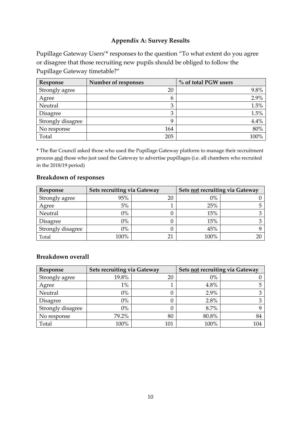# **Appendix A: Survey Results**

Pupillage Gateway Users'\* responses to the question "To what extent do you agree or disagree that those recruiting new pupils should be obliged to follow the Pupillage Gateway timetable?"

| Response          | Number of responses | % of total PGW users |
|-------------------|---------------------|----------------------|
| Strongly agree    | 20                  | 9.8%                 |
| Agree             | 6                   | 2.9%                 |
| Neutral           | 3                   | 1.5%                 |
| Disagree          | 3                   | 1.5%                 |
| Strongly disagree | 9                   | 4.4%                 |
| No response       | 164                 | 80%                  |
| Total             | 205                 | 100%                 |

**\*** The Bar Council asked those who used the Pupillage Gateway platform to manage their recruitment process and those who just used the Gateway to advertise pupillages (i.e. all chambers who recruited in the 2018/19 period)

## **Breakdown of responses**

| Response          | Sets recruiting via Gateway |    | Sets not recruiting via Gateway |  |
|-------------------|-----------------------------|----|---------------------------------|--|
| Strongly agree    | 95%                         | 20 | $0\%$                           |  |
| Agree             | 5%                          |    | 25%                             |  |
| Neutral           | 0%                          |    | 15%                             |  |
| <b>Disagree</b>   | 0%                          |    | 15%                             |  |
| Strongly disagree | 0%                          |    | 45%                             |  |
| Total             | 100%                        |    | 100%                            |  |

# **Breakdown overall**

| Response          | Sets recruiting via Gateway |     | Sets not recruiting via Gateway |     |
|-------------------|-----------------------------|-----|---------------------------------|-----|
| Strongly agree    | 19.8%                       | 20  | $0\%$                           |     |
| Agree             | $1\%$                       |     | 4.8%                            |     |
| Neutral           | $0\%$                       |     | 2.9%                            |     |
| <b>Disagree</b>   | $0\%$                       |     | 2.8%                            |     |
| Strongly disagree | $0\%$                       |     | 8.7%                            |     |
| No response       | 79.2%                       | 80  | 80.8%                           |     |
| Total             | 100%                        | 101 | 100%                            | 104 |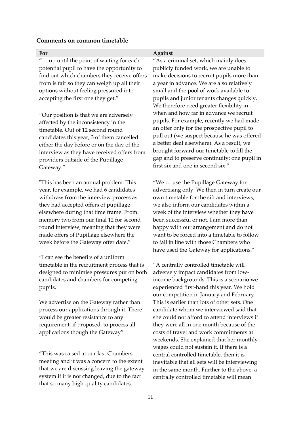#### **Comments on common timetable**

"… up until the point of waiting for each potential pupil to have the opportunity to find out which chambers they receive offers from is fair so they can weigh up all their options without feeling pressured into accepting the first one they get."

"Our position is that we are adversely affected by the inconsistency in the timetable. Out of 12 second round candidates this year, 3 of them cancelled either the day before or on the day of the interview as they have received offers from providers outside of the Pupillage Gateway."

"This has been an annual problem. This year, for example, we had 6 candidates withdraw from the interview process as they had accepted offers of pupillage elsewhere during that time frame. From memory two from our final 12 for second round interview, meaning that they were made offers of Pupillage elsewhere the week before the Gateway offer date."

"I can see the benefits of a uniform timetable in the recruitment process that is designed to minimise pressures put on both candidates and chambers for competing pupils.

We advertise on the Gateway rather than process our applications through it. There would be greater resistance to any requirement, if proposed, to process all applications though the Gateway"

"This was raised at our last Chambers meeting and it was a concern to the extent that we are discussing leaving the gateway system if it is not changed, due to the fact that so many high-quality candidates

## **For Against**

"As a criminal set, which mainly does publicly funded work, we are unable to make decisions to recruit pupils more than a year in advance. We are also relatively small and the pool of work available to pupils and junior tenants changes quickly. We therefore need greater flexibility in when and how far in advance we recruit pupils. For example, recently we had made an offer only for the prospective pupil to pull out (we suspect because he was offered a better deal elsewhere). As a result, we brought forward our timetable to fill the gap and to preserve continuity: one pupil in first six and one in second six."

"We … use the Pupillage Gateway for advertising only. We then in turn create our own timetable for the sift and interviews, we also inform our candidates within a week of the interview whether they have been successful or not. I am more than happy with our arrangement and do not want to be forced into a timetable to follow to fall in line with those Chambers who have used the Gateway for applications."

"A centrally controlled timetable will adversely impact candidates from lowincome backgrounds. This is a scenario we experienced first-hand this year. We hold our competition in January and February. This is earlier than lots of other sets. One candidate whom we interviewed said that she could not afford to attend interviews if they were all in one month because of the costs of travel and work commitments at weekends. She explained that her monthly wages could not sustain it. If there is a central controlled timetable, then it is inevitable that all sets will be interviewing in the same month. Further to the above, a centrally controlled timetable will mean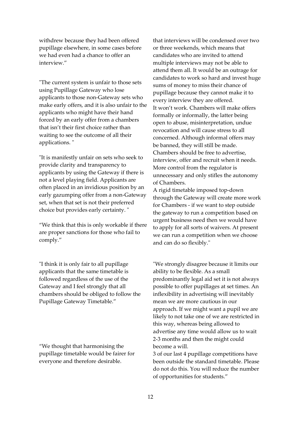withdrew because they had been offered pupillage elsewhere, in some cases before we had even had a chance to offer an interview."

"The current system is unfair to those sets using Pupillage Gateway who lose applicants to those non-Gateway sets who make early offers, and it is also unfair to the applicants who might have their hand forced by an early offer from a chambers that isn't their first choice rather than waiting to see the outcome of all their applications. "

"It is manifestly unfair on sets who seek to provide clarity and transparency to applicants by using the Gateway if there is not a level playing field. Applicants are often placed in an invidious position by an early gazumping offer from a non-Gateway set, when that set is not their preferred choice but provides early certainty. "

"We think that this is only workable if there are proper sanctions for those who fail to comply."

"I think it is only fair to all pupillage applicants that the same timetable is followed regardless of the use of the Gateway and I feel strongly that all chambers should be obliged to follow the Pupillage Gateway Timetable."

"We thought that harmonising the pupillage timetable would be fairer for everyone and therefore desirable.

that interviews will be condensed over two or three weekends, which means that candidates who are invited to attend multiple interviews may not be able to attend them all. It would be an outrage for candidates to work so hard and invest huge sums of money to miss their chance of pupillage because they cannot make it to every interview they are offered. It won't work. Chambers will make offers formally or informally, the latter being open to abuse, misinterpretation, undue revocation and will cause stress to all concerned. Although informal offers may be banned, they will still be made. Chambers should be free to advertise, interview, offer and recruit when it needs. More control from the regulator is unnecessary and only stifles the autonomy of Chambers.

A rigid timetable imposed top-down through the Gateway will create more work for Chambers - if we want to step outside the gateway to run a competition based on urgent business need then we would have to apply for all sorts of waivers. At present we can run a competition when we choose and can do so flexibly."

"We strongly disagree because it limits our ability to be flexible. As a small predominantly legal aid set it is not always possible to offer pupillages at set times. An inflexibility in advertising will inevitably mean we are more cautious in our approach. If we might want a pupil we are likely to not take one of we are restricted in this way, whereas being allowed to advertise any time would allow us to wait 2-3 months and then the might could become a will.

3 of our last 4 pupillage competitions have been outside the standard timetable. Please do not do this. You will reduce the number of opportunities for students."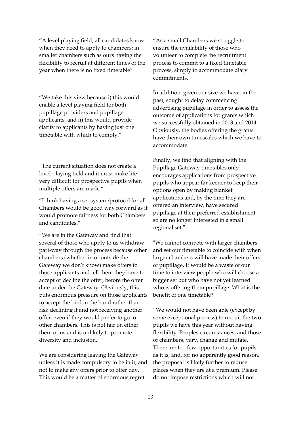"A level playing field; all candidates know when they need to apply to chambers; in smaller chambers such as ours having the flexibility to recruit at different times of the year when there is no fixed timetable"

"We take this view because i) this would enable a level playing field for both pupillage providers and pupillage applicants, and ii) this would provide clarity to applicants by having just one timetable with which to comply."

"The current situation does not create a level playing field and it must make life very difficult for prospective pupils when multiple offers are made."

"I think having a set system/protocol for all Chambers would be good way forward as it would promote fairness for both Chambers and candidates."

"We are in the Gateway and find that several of those who apply to us withdraw part-way through the process because other chambers (whether in or outside the Gateway we don't know) make offers to those applicants and tell them they have to accept or decline the offer, before the offer date under the Gateway. Obviously, this puts enormous pressure on those applicants to accept the bird in the hand rather than risk declining it and not receiving another offer, even if they would prefer to go to other chambers. This is not fair on either them or us and is unlikely to promote diversity and inclusion.

We are considering leaving the Gateway unless it is made compulsory to be in it, and not to make any offers prior to offer day. This would be a matter of enormous regret

"As a small Chambers we struggle to ensure the availability of those who volunteer to complete the recruitment process to commit to a fixed timetable process, simply to accommodate diary commitments.

In addition, given our size we have, in the past, sought to delay commencing advertising pupillage in order to assess the outcome of applications for grants which we successfully obtained in 2013 and 2014. Obviously, the bodies offering the grants have their own timescales which we have to accommodate.

Finally, we find that aligning with the Pupillage Gateway timetables only encourages applications from prospective pupils who appear far keener to keep their options open by making blanket applications and, by the time they are offered an interview, have secured pupillage at their preferred establishment so are no longer interested in a small regional set."

"We cannot compete with larger chambers and set our timetable to coincide with when larger chambers will have made their offers of pupillage. It would be a waste of our time to interview people who will choose a bigger set but who have not yet learned who is offering them pupillage. What is the benefit of one timetable?"

"We would not have been able (except by some exceptional process) to recruit the two pupils we have this year without having flexibility. Peoples circumstances, and those of chambers, vary, change and mutate. There are too few opportunities for pupils as it is, and, for no apparently good reason, the proposal is likely further to reduce places when they are at a premium. Please do not impose restrictions which will not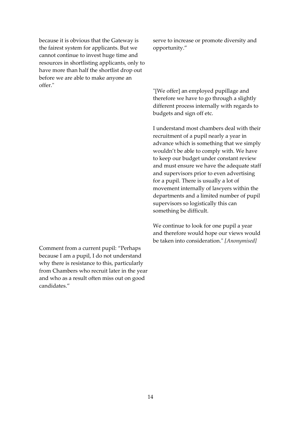because it is obvious that the Gateway is the fairest system for applicants. But we cannot continue to invest huge time and resources in shortlisting applicants, only to have more than half the shortlist drop out before we are able to make anyone an offer."

Comment from a current pupil: "Perhaps because I am a pupil, I do not understand why there is resistance to this, particularly from Chambers who recruit later in the year and who as a result often miss out on good candidates."

serve to increase or promote diversity and opportunity."

"[We offer] an employed pupillage and therefore we have to go through a slightly different process internally with regards to budgets and sign off etc.

I understand most chambers deal with their recruitment of a pupil nearly a year in advance which is something that we simply wouldn't be able to comply with. We have to keep our budget under constant review and must ensure we have the adequate staff and supervisors prior to even advertising for a pupil. There is usually a lot of movement internally of lawyers within the departments and a limited number of pupil supervisors so logistically this can something be difficult.

We continue to look for one pupil a year and therefore would hope our views would be taken into consideration." *[Anonymised]*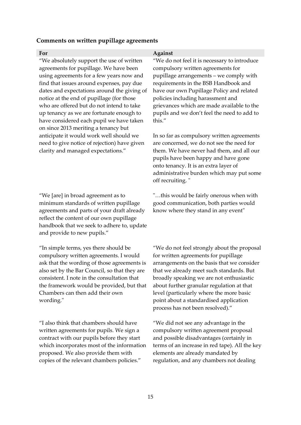## **Comments on written pupillage agreements**

"We absolutely support the use of written agreements for pupillage. We have been using agreements for a few years now and find that issues around expenses, pay due dates and expectations around the giving of notice at the end of pupillage (for those who are offered but do not intend to take up tenancy as we are fortunate enough to have considered each pupil we have taken on since 2013 meriting a tenancy but anticipate it would work well should we need to give notice of rejection) have given clarity and managed expectations."

"We [are] in broad agreement as to minimum standards of written pupillage agreements and parts of your draft already reflect the content of our own pupillage handbook that we seek to adhere to, update and provide to new pupils."

"In simple terms, yes there should be compulsory written agreements. I would ask that the wording of those agreements is also set by the Bar Council, so that they are consistent. I note in the consultation that the framework would be provided, but that Chambers can then add their own wording."

"I also think that chambers should have written agreements for pupils. We sign a contract with our pupils before they start which incorporates most of the information proposed. We also provide them with copies of the relevant chambers policies."

## **For Against**

"We do not feel it is necessary to introduce compulsory written agreements for pupillage arrangements – we comply with requirements in the BSB Handbook and have our own Pupillage Policy and related policies including harassment and grievances which are made available to the pupils and we don't feel the need to add to this."

In so far as compulsory written agreements are concerned, we do not see the need for them. We have never had them, and all our pupils have been happy and have gone onto tenancy. It is an extra layer of administrative burden which may put some off recruiting. "

"…this would be fairly onerous when with good communication, both parties would know where they stand in any event"

"We do not feel strongly about the proposal for written agreements for pupillage arrangements on the basis that we consider that we already meet such standards. But broadly speaking we are not enthusiastic about further granular regulation at that level (particularly where the more basic point about a standardised application process has not been resolved)."

"We did not see any advantage in the compulsory written agreement proposal and possible disadvantages (certainly in terms of an increase in red tape). All the key elements are already mandated by regulation, and any chambers not dealing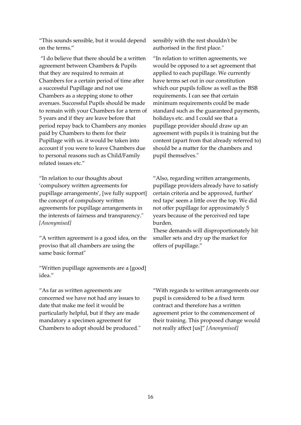"This sounds sensible, but it would depend on the terms."

"I do believe that there should be a written agreement between Chambers & Pupils that they are required to remain at Chambers for a certain period of time after a successful Pupillage and not use Chambers as a stepping stone to other avenues. Successful Pupils should be made to remain with your Chambers for a term of 5 years and if they are leave before that period repay back to Chambers any monies paid by Chambers to them for their Pupillage with us. it would be taken into account if you were to leave Chambers due to personal reasons such as Child/Family related issues etc."

"In relation to our thoughts about 'compulsory written agreements for pupillage arrangements', [we fully support] the concept of compulsory written agreements for pupillage arrangements in the interests of fairness and transparency." *[Anonymised]*

"A written agreement is a good idea, on the proviso that all chambers are using the same basic format"

"Written pupillage agreements are a [good] idea."

"As far as written agreements are concerned we have not had any issues to date that make me feel it would be particularly helpful, but if they are made mandatory a specimen agreement for Chambers to adopt should be produced." sensibly with the rest shouldn't be authorised in the first place."

"In relation to written agreements, we would be opposed to a set agreement that applied to each pupillage. We currently have terms set out in our constitution which our pupils follow as well as the BSB requirements. I can see that certain minimum requirements could be made standard such as the guaranteed payments, holidays etc. and I could see that a pupillage provider should draw up an agreement with pupils it is training but the content (apart from that already referred to) should be a matter for the chambers and pupil themselves."

"Also, regarding written arrangements, pupillage providers already have to satisfy certain criteria and be approved, further' red tape' seem a little over the top. We did not offer pupillage for approximately 5 years because of the perceived red tape burden.

These demands will disproportionately hit smaller sets and dry up the market for offers of pupillage."

"With regards to written arrangements our pupil is considered to be a fixed term contract and therefore has a written agreement prior to the commencement of their training. This proposed change would not really affect [us]" *[Anonymised]*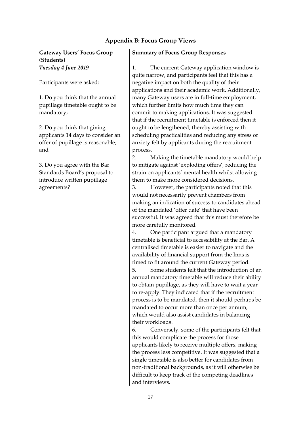# **Appendix B: Focus Group Views**

**Gateway Users' Focus Group (Students)** *Tuesday 4 June 2019*

Participants were asked:

1. Do you think that the annual pupillage timetable ought to be mandatory;

2. Do you think that giving applicants 14 days to consider an offer of pupillage is reasonable; and

3. Do you agree with the Bar Standards Board's proposal to introduce written pupillage agreements?

## **Summary of Focus Group Responses**

1. The current Gateway application window is quite narrow, and participants feel that this has a negative impact on both the quality of their applications and their academic work. Additionally, many Gateway users are in full-time employment, which further limits how much time they can commit to making applications. It was suggested that if the recruitment timetable is enforced then it ought to be lengthened, thereby assisting with scheduling practicalities and reducing any stress or anxiety felt by applicants during the recruitment process.

2. Making the timetable mandatory would help to mitigate against 'exploding offers', reducing the strain on applicants' mental health whilst allowing them to make more considered decisions.

3. However, the participants noted that this would not necessarily prevent chambers from making an indication of success to candidates ahead of the mandated 'offer date' that have been successful. It was agreed that this must therefore be more carefully monitored.

4. One participant argued that a mandatory timetable is beneficial to accessibility at the Bar. A centralised timetable is easier to navigate and the availability of financial support from the Inns is timed to fit around the current Gateway period.

5. Some students felt that the introduction of an annual mandatory timetable will reduce their ability to obtain pupillage, as they will have to wait a year to re-apply. They indicated that if the recruitment process is to be mandated, then it should perhaps be mandated to occur more than once per annum, which would also assist candidates in balancing their workloads.

6. Conversely, some of the participants felt that this would complicate the process for those applicants likely to receive multiple offers, making the process less competitive. It was suggested that a single timetable is also better for candidates from non-traditional backgrounds, as it will otherwise be difficult to keep track of the competing deadlines and interviews.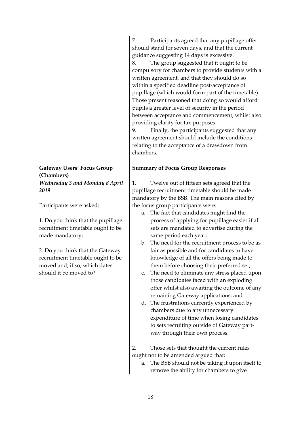|                                       | Participants agreed that any pupillage offer<br>7.<br>should stand for seven days, and that the current<br>guidance suggesting 14 days is excessive.<br>The group suggested that it ought to be<br>8.<br>compulsory for chambers to provide students with a<br>written agreement, and that they should do so<br>within a specified deadline post-acceptance of<br>pupillage (which would form part of the timetable).<br>Those present reasoned that doing so would afford<br>pupils a greater level of security in the period<br>between acceptance and commencement, whilst also<br>providing clarity for tax purposes.<br>Finally, the participants suggested that any<br>9.<br>written agreement should include the conditions<br>relating to the acceptance of a drawdown from<br>chambers. |
|---------------------------------------|--------------------------------------------------------------------------------------------------------------------------------------------------------------------------------------------------------------------------------------------------------------------------------------------------------------------------------------------------------------------------------------------------------------------------------------------------------------------------------------------------------------------------------------------------------------------------------------------------------------------------------------------------------------------------------------------------------------------------------------------------------------------------------------------------|
| <b>Gateway Users' Focus Group</b>     | <b>Summary of Focus Group Responses</b>                                                                                                                                                                                                                                                                                                                                                                                                                                                                                                                                                                                                                                                                                                                                                          |
| (Chambers)                            |                                                                                                                                                                                                                                                                                                                                                                                                                                                                                                                                                                                                                                                                                                                                                                                                  |
| <b>Wednesday 3 and Monday 8 April</b> | Twelve out of fifteen sets agreed that the<br>1.                                                                                                                                                                                                                                                                                                                                                                                                                                                                                                                                                                                                                                                                                                                                                 |
| 2019                                  | pupillage recruitment timetable should be made                                                                                                                                                                                                                                                                                                                                                                                                                                                                                                                                                                                                                                                                                                                                                   |
| Participants were asked:              | mandatory by the BSB. The main reasons cited by<br>the focus group participants were:                                                                                                                                                                                                                                                                                                                                                                                                                                                                                                                                                                                                                                                                                                            |
|                                       | The fact that candidates might find the<br>a.                                                                                                                                                                                                                                                                                                                                                                                                                                                                                                                                                                                                                                                                                                                                                    |
| 1. Do you think that the pupillage    | process of applying for pupillage easier if all                                                                                                                                                                                                                                                                                                                                                                                                                                                                                                                                                                                                                                                                                                                                                  |
| recruitment timetable ought to be     | sets are mandated to advertise during the                                                                                                                                                                                                                                                                                                                                                                                                                                                                                                                                                                                                                                                                                                                                                        |
| made mandatory;                       | same period each year;                                                                                                                                                                                                                                                                                                                                                                                                                                                                                                                                                                                                                                                                                                                                                                           |
|                                       | b. The need for the recruitment process to be as                                                                                                                                                                                                                                                                                                                                                                                                                                                                                                                                                                                                                                                                                                                                                 |
| 2. Do you think that the Gateway      | fair as possible and for candidates to have                                                                                                                                                                                                                                                                                                                                                                                                                                                                                                                                                                                                                                                                                                                                                      |
| recruitment timetable ought to be     | knowledge of all the offers being made to                                                                                                                                                                                                                                                                                                                                                                                                                                                                                                                                                                                                                                                                                                                                                        |
| moved and, if so, which dates         | them before choosing their preferred set;                                                                                                                                                                                                                                                                                                                                                                                                                                                                                                                                                                                                                                                                                                                                                        |
| should it be moved to?                | The need to eliminate any stress placed upon<br>c.                                                                                                                                                                                                                                                                                                                                                                                                                                                                                                                                                                                                                                                                                                                                               |
|                                       | those candidates faced with an exploding                                                                                                                                                                                                                                                                                                                                                                                                                                                                                                                                                                                                                                                                                                                                                         |
|                                       | offer whilst also awaiting the outcome of any                                                                                                                                                                                                                                                                                                                                                                                                                                                                                                                                                                                                                                                                                                                                                    |
|                                       | remaining Gateway applications; and                                                                                                                                                                                                                                                                                                                                                                                                                                                                                                                                                                                                                                                                                                                                                              |
|                                       | d. The frustrations currently experienced by                                                                                                                                                                                                                                                                                                                                                                                                                                                                                                                                                                                                                                                                                                                                                     |
|                                       | chambers due to any unnecessary                                                                                                                                                                                                                                                                                                                                                                                                                                                                                                                                                                                                                                                                                                                                                                  |
|                                       | expenditure of time when losing candidates                                                                                                                                                                                                                                                                                                                                                                                                                                                                                                                                                                                                                                                                                                                                                       |
|                                       | to sets recruiting outside of Gateway part-                                                                                                                                                                                                                                                                                                                                                                                                                                                                                                                                                                                                                                                                                                                                                      |
|                                       | way through their own process.                                                                                                                                                                                                                                                                                                                                                                                                                                                                                                                                                                                                                                                                                                                                                                   |
|                                       | 2.<br>Those sets that thought the current rules                                                                                                                                                                                                                                                                                                                                                                                                                                                                                                                                                                                                                                                                                                                                                  |
|                                       | ought not to be amended argued that:                                                                                                                                                                                                                                                                                                                                                                                                                                                                                                                                                                                                                                                                                                                                                             |
|                                       | The BSB should not be taking it upon itself to<br>a.                                                                                                                                                                                                                                                                                                                                                                                                                                                                                                                                                                                                                                                                                                                                             |
|                                       | remove the ability for chambers to give                                                                                                                                                                                                                                                                                                                                                                                                                                                                                                                                                                                                                                                                                                                                                          |